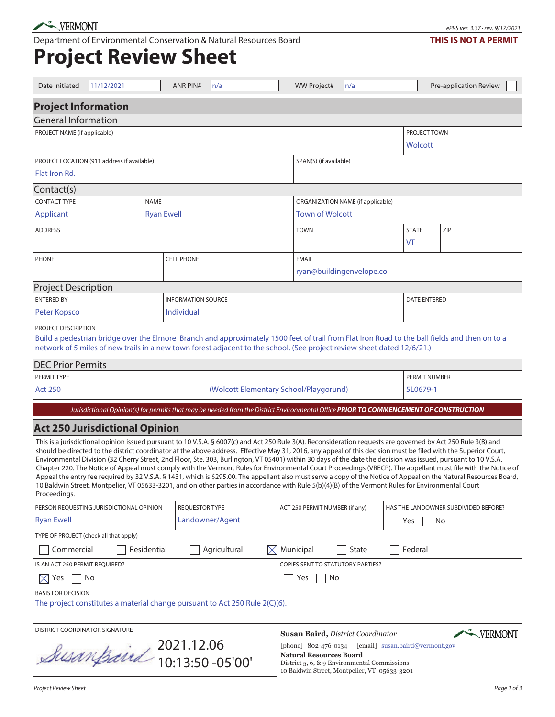Department of Environmental Conservation & Natural Resources Board

## **Project Review Sheet**

| Date Initiated                                                                                                                                                                                                                                                                                                                                                                                                                                                                                                                                                                                                                                                                                                                                                                                                                                                                                                                                                                                                 | 11/12/2021 |                                   | <b>ANR PIN#</b>           | n/a                    |  | <b>WW Project#</b>                                                                                                                                                                        | n/a                    |  |                     | Pre-application Review               |  |  |
|----------------------------------------------------------------------------------------------------------------------------------------------------------------------------------------------------------------------------------------------------------------------------------------------------------------------------------------------------------------------------------------------------------------------------------------------------------------------------------------------------------------------------------------------------------------------------------------------------------------------------------------------------------------------------------------------------------------------------------------------------------------------------------------------------------------------------------------------------------------------------------------------------------------------------------------------------------------------------------------------------------------|------------|-----------------------------------|---------------------------|------------------------|--|-------------------------------------------------------------------------------------------------------------------------------------------------------------------------------------------|------------------------|--|---------------------|--------------------------------------|--|--|
| <b>Project Information</b>                                                                                                                                                                                                                                                                                                                                                                                                                                                                                                                                                                                                                                                                                                                                                                                                                                                                                                                                                                                     |            |                                   |                           |                        |  |                                                                                                                                                                                           |                        |  |                     |                                      |  |  |
| <b>General Information</b>                                                                                                                                                                                                                                                                                                                                                                                                                                                                                                                                                                                                                                                                                                                                                                                                                                                                                                                                                                                     |            |                                   |                           |                        |  |                                                                                                                                                                                           |                        |  |                     |                                      |  |  |
| PROJECT NAME (if applicable)                                                                                                                                                                                                                                                                                                                                                                                                                                                                                                                                                                                                                                                                                                                                                                                                                                                                                                                                                                                   |            |                                   |                           |                        |  |                                                                                                                                                                                           |                        |  |                     | PROJECT TOWN<br>Wolcott              |  |  |
| PROJECT LOCATION (911 address if available)                                                                                                                                                                                                                                                                                                                                                                                                                                                                                                                                                                                                                                                                                                                                                                                                                                                                                                                                                                    |            |                                   |                           |                        |  |                                                                                                                                                                                           | SPAN(S) (if available) |  |                     |                                      |  |  |
| Flat Iron Rd.                                                                                                                                                                                                                                                                                                                                                                                                                                                                                                                                                                                                                                                                                                                                                                                                                                                                                                                                                                                                  |            |                                   |                           |                        |  |                                                                                                                                                                                           |                        |  |                     |                                      |  |  |
| Contact(s)                                                                                                                                                                                                                                                                                                                                                                                                                                                                                                                                                                                                                                                                                                                                                                                                                                                                                                                                                                                                     |            |                                   |                           |                        |  |                                                                                                                                                                                           |                        |  |                     |                                      |  |  |
| <b>CONTACT TYPE</b><br><b>NAME</b>                                                                                                                                                                                                                                                                                                                                                                                                                                                                                                                                                                                                                                                                                                                                                                                                                                                                                                                                                                             |            |                                   |                           |                        |  | ORGANIZATION NAME (if applicable)                                                                                                                                                         |                        |  |                     |                                      |  |  |
| Applicant<br><b>Ryan Ewell</b>                                                                                                                                                                                                                                                                                                                                                                                                                                                                                                                                                                                                                                                                                                                                                                                                                                                                                                                                                                                 |            |                                   |                           | <b>Town of Wolcott</b> |  |                                                                                                                                                                                           |                        |  |                     |                                      |  |  |
| <b>ADDRESS</b>                                                                                                                                                                                                                                                                                                                                                                                                                                                                                                                                                                                                                                                                                                                                                                                                                                                                                                                                                                                                 |            |                                   |                           |                        |  | <b>TOWN</b>                                                                                                                                                                               |                        |  | <b>STATE</b><br>VT  | ZIP                                  |  |  |
| <b>PHONE</b>                                                                                                                                                                                                                                                                                                                                                                                                                                                                                                                                                                                                                                                                                                                                                                                                                                                                                                                                                                                                   |            |                                   | <b>CELL PHONE</b>         |                        |  | <b>EMAIL</b>                                                                                                                                                                              |                        |  |                     |                                      |  |  |
|                                                                                                                                                                                                                                                                                                                                                                                                                                                                                                                                                                                                                                                                                                                                                                                                                                                                                                                                                                                                                |            |                                   | ryan@buildingenvelope.co  |                        |  |                                                                                                                                                                                           |                        |  |                     |                                      |  |  |
| <b>Project Description</b>                                                                                                                                                                                                                                                                                                                                                                                                                                                                                                                                                                                                                                                                                                                                                                                                                                                                                                                                                                                     |            |                                   |                           |                        |  |                                                                                                                                                                                           |                        |  |                     |                                      |  |  |
| <b>ENTERED BY</b>                                                                                                                                                                                                                                                                                                                                                                                                                                                                                                                                                                                                                                                                                                                                                                                                                                                                                                                                                                                              |            |                                   | <b>INFORMATION SOURCE</b> |                        |  |                                                                                                                                                                                           |                        |  | <b>DATE ENTERED</b> |                                      |  |  |
| Peter Kopsco                                                                                                                                                                                                                                                                                                                                                                                                                                                                                                                                                                                                                                                                                                                                                                                                                                                                                                                                                                                                   |            |                                   | Individual                |                        |  |                                                                                                                                                                                           |                        |  |                     |                                      |  |  |
| PROJECT DESCRIPTION<br>Build a pedestrian bridge over the Elmore Branch and approximately 1500 feet of trail from Flat Iron Road to the ball fields and then on to a<br>network of 5 miles of new trails in a new town forest adjacent to the school. (See project review sheet dated 12/6/21.)<br><b>DEC Prior Permits</b>                                                                                                                                                                                                                                                                                                                                                                                                                                                                                                                                                                                                                                                                                    |            |                                   |                           |                        |  |                                                                                                                                                                                           |                        |  |                     |                                      |  |  |
| PERMIT TYPE                                                                                                                                                                                                                                                                                                                                                                                                                                                                                                                                                                                                                                                                                                                                                                                                                                                                                                                                                                                                    |            |                                   |                           |                        |  |                                                                                                                                                                                           |                        |  |                     | PERMIT NUMBER                        |  |  |
| <b>Act 250</b>                                                                                                                                                                                                                                                                                                                                                                                                                                                                                                                                                                                                                                                                                                                                                                                                                                                                                                                                                                                                 |            |                                   |                           |                        |  | (Wolcott Elementary School/Playgorund)                                                                                                                                                    |                        |  | 5L0679-1            |                                      |  |  |
|                                                                                                                                                                                                                                                                                                                                                                                                                                                                                                                                                                                                                                                                                                                                                                                                                                                                                                                                                                                                                |            |                                   |                           |                        |  | Jurisdictional Opinion(s) for permits that may be needed from the District Environmental Office PRIOR TO COMMENCEMENT OF CONSTRUCTION                                                     |                        |  |                     |                                      |  |  |
| <b>Act 250 Jurisdictional Opinion</b>                                                                                                                                                                                                                                                                                                                                                                                                                                                                                                                                                                                                                                                                                                                                                                                                                                                                                                                                                                          |            |                                   |                           |                        |  |                                                                                                                                                                                           |                        |  |                     |                                      |  |  |
| This is a jurisdictional opinion issued pursuant to 10 V.S.A. § 6007(c) and Act 250 Rule 3(A). Reconsideration requests are governed by Act 250 Rule 3(B) and<br>should be directed to the district coordinator at the above address. Effective May 31, 2016, any appeal of this decision must be filed with the Superior Court,<br>Environmental Division (32 Cherry Street, 2nd Floor, Ste. 303, Burlington, VT 05401) within 30 days of the date the decision was issued, pursuant to 10 V.S.A.<br>Chapter 220. The Notice of Appeal must comply with the Vermont Rules for Environmental Court Proceedings (VRECP). The appellant must file with the Notice of<br>Appeal the entry fee required by 32 V.S.A. § 1431, which is \$295.00. The appellant also must serve a copy of the Notice of Appeal on the Natural Resources Board,<br>10 Baldwin Street, Montpelier, VT 05633-3201, and on other parties in accordance with Rule 5(b)(4)(B) of the Vermont Rules for Environmental Court<br>Proceedings. |            |                                   |                           |                        |  |                                                                                                                                                                                           |                        |  |                     |                                      |  |  |
| PERSON REQUESTING JURISDICTIONAL OPINION                                                                                                                                                                                                                                                                                                                                                                                                                                                                                                                                                                                                                                                                                                                                                                                                                                                                                                                                                                       |            |                                   | <b>REQUESTOR TYPE</b>     |                        |  | ACT 250 PERMIT NUMBER (if any)                                                                                                                                                            |                        |  |                     | HAS THE LANDOWNER SUBDIVIDED BEFORE? |  |  |
| <b>Ryan Ewell</b>                                                                                                                                                                                                                                                                                                                                                                                                                                                                                                                                                                                                                                                                                                                                                                                                                                                                                                                                                                                              |            |                                   |                           | Landowner/Agent        |  |                                                                                                                                                                                           |                        |  | Yes                 | No                                   |  |  |
| TYPE OF PROJECT (check all that apply)                                                                                                                                                                                                                                                                                                                                                                                                                                                                                                                                                                                                                                                                                                                                                                                                                                                                                                                                                                         |            |                                   |                           |                        |  |                                                                                                                                                                                           |                        |  |                     |                                      |  |  |
| Commercial<br>Residential<br>Agricultural<br>Municipal<br>Federal<br>State                                                                                                                                                                                                                                                                                                                                                                                                                                                                                                                                                                                                                                                                                                                                                                                                                                                                                                                                     |            |                                   |                           |                        |  |                                                                                                                                                                                           |                        |  |                     |                                      |  |  |
| IS AN ACT 250 PERMIT REQUIRED?                                                                                                                                                                                                                                                                                                                                                                                                                                                                                                                                                                                                                                                                                                                                                                                                                                                                                                                                                                                 |            | COPIES SENT TO STATUTORY PARTIES? |                           |                        |  |                                                                                                                                                                                           |                        |  |                     |                                      |  |  |
| No<br>Yes<br>IXI                                                                                                                                                                                                                                                                                                                                                                                                                                                                                                                                                                                                                                                                                                                                                                                                                                                                                                                                                                                               |            |                                   |                           |                        |  | Yes<br>No                                                                                                                                                                                 |                        |  |                     |                                      |  |  |
| <b>BASIS FOR DECISION</b><br>The project constitutes a material change pursuant to Act 250 Rule 2(C)(6).                                                                                                                                                                                                                                                                                                                                                                                                                                                                                                                                                                                                                                                                                                                                                                                                                                                                                                       |            |                                   |                           |                        |  |                                                                                                                                                                                           |                        |  |                     |                                      |  |  |
| <b>DISTRICT COORDINATOR SIGNATURE</b><br>2021.12.06<br>Susanfaird 10:13:50-05'00'                                                                                                                                                                                                                                                                                                                                                                                                                                                                                                                                                                                                                                                                                                                                                                                                                                                                                                                              |            |                                   |                           |                        |  | -VERMONT<br><b>Susan Baird, District Coordinator</b>                                                                                                                                      |                        |  |                     |                                      |  |  |
|                                                                                                                                                                                                                                                                                                                                                                                                                                                                                                                                                                                                                                                                                                                                                                                                                                                                                                                                                                                                                |            |                                   |                           |                        |  | [phone] 802-476-0134<br>[email] susan.baird@vermont.gov<br><b>Natural Resources Board</b><br>District 5, 6, & 9 Environmental Commissions<br>10 Baldwin Street, Montpelier, VT 05633-3201 |                        |  |                     |                                      |  |  |

## **THIS IS NOT A PERMIT**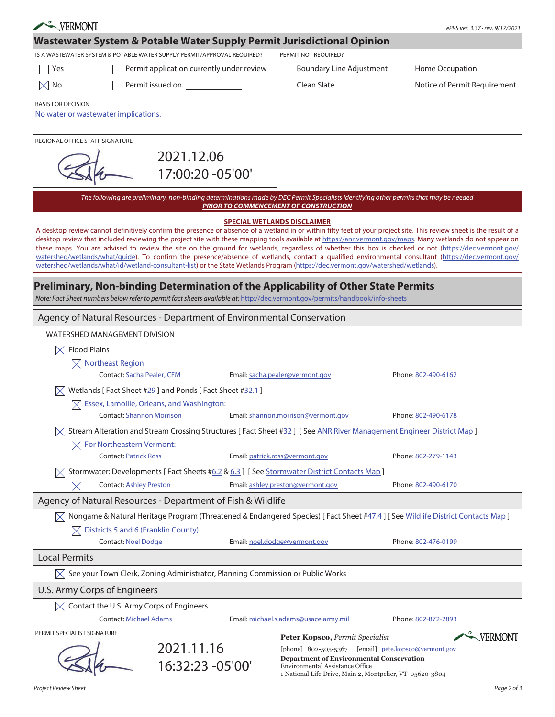| VERMONT                                                                                                                                                                                                                                                                                                                                                                                                                                                                                                                                                                                                                                                                                                                                                                               | ePRS ver. 3.37 · rev. 9/17/2021 |                                                                                                                                                       |                              |  |  |  |  |  |
|---------------------------------------------------------------------------------------------------------------------------------------------------------------------------------------------------------------------------------------------------------------------------------------------------------------------------------------------------------------------------------------------------------------------------------------------------------------------------------------------------------------------------------------------------------------------------------------------------------------------------------------------------------------------------------------------------------------------------------------------------------------------------------------|---------------------------------|-------------------------------------------------------------------------------------------------------------------------------------------------------|------------------------------|--|--|--|--|--|
| Wastewater System & Potable Water Supply Permit Jurisdictional Opinion                                                                                                                                                                                                                                                                                                                                                                                                                                                                                                                                                                                                                                                                                                                |                                 |                                                                                                                                                       |                              |  |  |  |  |  |
| IS A WASTEWATER SYSTEM & POTABLE WATER SUPPLY PERMIT/APPROVAL REQUIRED?                                                                                                                                                                                                                                                                                                                                                                                                                                                                                                                                                                                                                                                                                                               |                                 | PERMIT NOT REQUIRED?                                                                                                                                  |                              |  |  |  |  |  |
| Permit application currently under review<br>Yes                                                                                                                                                                                                                                                                                                                                                                                                                                                                                                                                                                                                                                                                                                                                      |                                 | <b>Boundary Line Adjustment</b>                                                                                                                       | Home Occupation              |  |  |  |  |  |
| Permit issued on<br>No<br>$\boxtimes$                                                                                                                                                                                                                                                                                                                                                                                                                                                                                                                                                                                                                                                                                                                                                 |                                 | Clean Slate                                                                                                                                           | Notice of Permit Requirement |  |  |  |  |  |
| <b>BASIS FOR DECISION</b>                                                                                                                                                                                                                                                                                                                                                                                                                                                                                                                                                                                                                                                                                                                                                             |                                 |                                                                                                                                                       |                              |  |  |  |  |  |
| No water or wastewater implications.                                                                                                                                                                                                                                                                                                                                                                                                                                                                                                                                                                                                                                                                                                                                                  |                                 |                                                                                                                                                       |                              |  |  |  |  |  |
| REGIONAL OFFICE STAFF SIGNATURE                                                                                                                                                                                                                                                                                                                                                                                                                                                                                                                                                                                                                                                                                                                                                       |                                 |                                                                                                                                                       |                              |  |  |  |  |  |
| 2021.12.06                                                                                                                                                                                                                                                                                                                                                                                                                                                                                                                                                                                                                                                                                                                                                                            |                                 |                                                                                                                                                       |                              |  |  |  |  |  |
|                                                                                                                                                                                                                                                                                                                                                                                                                                                                                                                                                                                                                                                                                                                                                                                       | 17:00:20 -05'00'                |                                                                                                                                                       |                              |  |  |  |  |  |
| The following are preliminary, non-binding determinations made by DEC Permit Specialists identifying other permits that may be needed<br><b>PRIOR TO COMMENCEMENT OF CONSTRUCTION</b>                                                                                                                                                                                                                                                                                                                                                                                                                                                                                                                                                                                                 |                                 |                                                                                                                                                       |                              |  |  |  |  |  |
| <b>SPECIAL WETLANDS DISCLAIMER</b>                                                                                                                                                                                                                                                                                                                                                                                                                                                                                                                                                                                                                                                                                                                                                    |                                 |                                                                                                                                                       |                              |  |  |  |  |  |
| A desktop review cannot definitively confirm the presence or absence of a wetland in or within fifty feet of your project site. This review sheet is the result of a<br>desktop review that included reviewing the project site with these mapping tools available at https://anr.vermont.gov/maps. Many wetlands do not appear on<br>these maps. You are advised to review the site on the ground for wetlands, regardless of whether this box is checked or not (https://dec.vermont.gov/<br>watershed/wetlands/what/guide). To confirm the presence/absence of wetlands, contact a qualified environmental consultant (https://dec.vermont.gov/<br>watershed/wetlands/what/id/wetland-consultant-list) or the State Wetlands Program (https://dec.vermont.gov/watershed/wetlands). |                                 |                                                                                                                                                       |                              |  |  |  |  |  |
| <b>Preliminary, Non-binding Determination of the Applicability of Other State Permits</b><br>Note: Fact Sheet numbers below refer to permit fact sheets available at: http://dec.vermont.gov/permits/handbook/info-sheets                                                                                                                                                                                                                                                                                                                                                                                                                                                                                                                                                             |                                 |                                                                                                                                                       |                              |  |  |  |  |  |
| Agency of Natural Resources - Department of Environmental Conservation                                                                                                                                                                                                                                                                                                                                                                                                                                                                                                                                                                                                                                                                                                                |                                 |                                                                                                                                                       |                              |  |  |  |  |  |
| <b>WATERSHED MANAGEMENT DIVISION</b>                                                                                                                                                                                                                                                                                                                                                                                                                                                                                                                                                                                                                                                                                                                                                  |                                 |                                                                                                                                                       |                              |  |  |  |  |  |
| <b>Flood Plains</b><br>$\bowtie$                                                                                                                                                                                                                                                                                                                                                                                                                                                                                                                                                                                                                                                                                                                                                      |                                 |                                                                                                                                                       |                              |  |  |  |  |  |
| $\boxtimes$ Northeast Region                                                                                                                                                                                                                                                                                                                                                                                                                                                                                                                                                                                                                                                                                                                                                          |                                 |                                                                                                                                                       |                              |  |  |  |  |  |
| <b>Contact: Sacha Pealer, CFM</b><br>Email: sacha.pealer@vermont.gov<br>Phone: 802-490-6162                                                                                                                                                                                                                                                                                                                                                                                                                                                                                                                                                                                                                                                                                           |                                 |                                                                                                                                                       |                              |  |  |  |  |  |
| Wetlands [Fact Sheet #29] and Ponds [Fact Sheet #32.1]                                                                                                                                                                                                                                                                                                                                                                                                                                                                                                                                                                                                                                                                                                                                |                                 |                                                                                                                                                       |                              |  |  |  |  |  |
| $\boxtimes$ Essex, Lamoille, Orleans, and Washington:                                                                                                                                                                                                                                                                                                                                                                                                                                                                                                                                                                                                                                                                                                                                 |                                 |                                                                                                                                                       |                              |  |  |  |  |  |
| <b>Contact: Shannon Morrison</b><br>Email: shannon.morrison@vermont.gov<br>Phone: 802-490-6178<br>Stream Alteration and Stream Crossing Structures [Fact Sheet #32] [See ANR River Management Engineer District Map]                                                                                                                                                                                                                                                                                                                                                                                                                                                                                                                                                                  |                                 |                                                                                                                                                       |                              |  |  |  |  |  |
| $\boxtimes$ For Northeastern Vermont:                                                                                                                                                                                                                                                                                                                                                                                                                                                                                                                                                                                                                                                                                                                                                 |                                 |                                                                                                                                                       |                              |  |  |  |  |  |
| <b>Contact: Patrick Ross</b>                                                                                                                                                                                                                                                                                                                                                                                                                                                                                                                                                                                                                                                                                                                                                          |                                 | Email: patrick.ross@vermont.gov                                                                                                                       | Phone: 802-279-1143          |  |  |  |  |  |
| Stormwater: Developments [Fact Sheets #6.2 & 6.3] [See Stormwater District Contacts Map]                                                                                                                                                                                                                                                                                                                                                                                                                                                                                                                                                                                                                                                                                              |                                 |                                                                                                                                                       |                              |  |  |  |  |  |
| Email: ashley.preston@vermont.gov<br><b>Contact: Ashley Preston</b><br>Phone: 802-490-6170<br>$\times$                                                                                                                                                                                                                                                                                                                                                                                                                                                                                                                                                                                                                                                                                |                                 |                                                                                                                                                       |                              |  |  |  |  |  |
| Agency of Natural Resources - Department of Fish & Wildlife                                                                                                                                                                                                                                                                                                                                                                                                                                                                                                                                                                                                                                                                                                                           |                                 |                                                                                                                                                       |                              |  |  |  |  |  |
| $\boxtimes$ Nongame & Natural Heritage Program (Threatened & Endangered Species) [Fact Sheet #47.4] [See Wildlife District Contacts Map ]                                                                                                                                                                                                                                                                                                                                                                                                                                                                                                                                                                                                                                             |                                 |                                                                                                                                                       |                              |  |  |  |  |  |
| Districts 5 and 6 (Franklin County)                                                                                                                                                                                                                                                                                                                                                                                                                                                                                                                                                                                                                                                                                                                                                   |                                 |                                                                                                                                                       |                              |  |  |  |  |  |
| <b>Contact: Noel Dodge</b>                                                                                                                                                                                                                                                                                                                                                                                                                                                                                                                                                                                                                                                                                                                                                            |                                 | Email: noel.dodge@vermont.gov                                                                                                                         | Phone: 802-476-0199          |  |  |  |  |  |
| <b>Local Permits</b>                                                                                                                                                                                                                                                                                                                                                                                                                                                                                                                                                                                                                                                                                                                                                                  |                                 |                                                                                                                                                       |                              |  |  |  |  |  |
| $\boxtimes$ See your Town Clerk, Zoning Administrator, Planning Commission or Public Works                                                                                                                                                                                                                                                                                                                                                                                                                                                                                                                                                                                                                                                                                            |                                 |                                                                                                                                                       |                              |  |  |  |  |  |
| U.S. Army Corps of Engineers                                                                                                                                                                                                                                                                                                                                                                                                                                                                                                                                                                                                                                                                                                                                                          |                                 |                                                                                                                                                       |                              |  |  |  |  |  |
| Contact the U.S. Army Corps of Engineers                                                                                                                                                                                                                                                                                                                                                                                                                                                                                                                                                                                                                                                                                                                                              |                                 |                                                                                                                                                       |                              |  |  |  |  |  |
| <b>Contact: Michael Adams</b>                                                                                                                                                                                                                                                                                                                                                                                                                                                                                                                                                                                                                                                                                                                                                         |                                 | Email: michael.s.adams@usace.army.mil                                                                                                                 | Phone: 802-872-2893          |  |  |  |  |  |
| PERMIT SPECIALIST SIGNATURE                                                                                                                                                                                                                                                                                                                                                                                                                                                                                                                                                                                                                                                                                                                                                           |                                 | Peter Kopsco, Permit Specialist                                                                                                                       | VERMONT                      |  |  |  |  |  |
| 2021.11.16                                                                                                                                                                                                                                                                                                                                                                                                                                                                                                                                                                                                                                                                                                                                                                            |                                 | [phone] 802-505-5367 [email] pete.kopsco@vermont.gov                                                                                                  |                              |  |  |  |  |  |
|                                                                                                                                                                                                                                                                                                                                                                                                                                                                                                                                                                                                                                                                                                                                                                                       | 16:32:23 -05'00'                | <b>Department of Environmental Conservation</b><br><b>Environmental Assistance Office</b><br>1 National Life Drive, Main 2, Montpelier, VT 05620-3804 |                              |  |  |  |  |  |